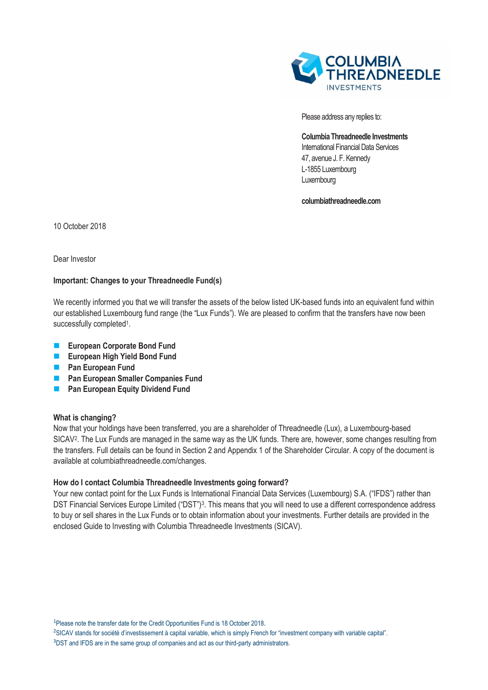

Please address any replies to:

**Columbia Threadneedle Investments**  International Financial Data Services 47, avenue J. F. Kennedy L-1855 Luxembourg Luxembourg

**columbiathreadneedle.com**

10 October 2018

Dear Investor

# **Important: Changes to your Threadneedle Fund(s)**

We recently informed you that we will transfer the assets of the below listed UK-based funds into an equivalent fund within our established Luxembourg fund range (the "Lux Funds"). We are pleased to confirm that the transfers have now been successfully completed<sup>1</sup>.

- **European Corporate Bond Fund**
- **European High Yield Bond Fund**
- **Pan European Fund**
- **Pan European Smaller Companies Fund**
- **Pan European Equity Dividend Fund**

### **What is changing?**

Now that your holdings have been transferred, you are a shareholder of Threadneedle (Lux), a Luxembourg-based SICAV<sup>2</sup>. The Lux Funds are managed in the same way as the UK funds. There are, however, some changes resulting from the transfers. Full details can be found in Section 2 and Appendix 1 of the Shareholder Circular. A copy of the document is available at columbiathreadneedle.com/changes.

### **How do I contact Columbia Threadneedle Investments going forward?**

Your new contact point for the Lux Funds is International Financial Data Services (Luxembourg) S.A. ("IFDS") rather than DST Financial Services Europe Limited ("DST")<sup>3</sup>. This means that you will need to use a different correspondence address to buy or sell shares in the Lux Funds or to obtain information about your investments. Further details are provided in the enclosed Guide to Investing with Columbia Threadneedle Investments (SICAV).

<sup>1</sup>Please note the transfer date for the Credit Opportunities Fund is 18 October 2018.

<sup>2</sup>SICAV stands for société d'investissement à capital variable, which is simply French for "investment company with variable capital".

<sup>3</sup>DST and IFDS are in the same group of companies and act as our third-party administrators.